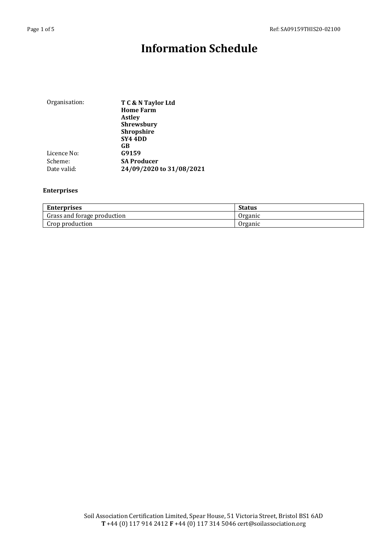# **Information Schedule**

| Organisation: | T C & N Taylor Ltd       |
|---------------|--------------------------|
|               | <b>Home Farm</b>         |
|               | <b>Astley</b>            |
|               | <b>Shrewsbury</b>        |
|               | <b>Shropshire</b>        |
|               | SY4 4DD                  |
|               | GB                       |
| Licence No:   | G9159                    |
| Scheme:       | <b>SA Producer</b>       |
| Date valid:   | 24/09/2020 to 31/08/2021 |

## **Enterprises**

| <b>Enterprises</b>          | <b>Status</b> |
|-----------------------------|---------------|
| Grass and forage production | Organic       |
| Crop production             | Organic       |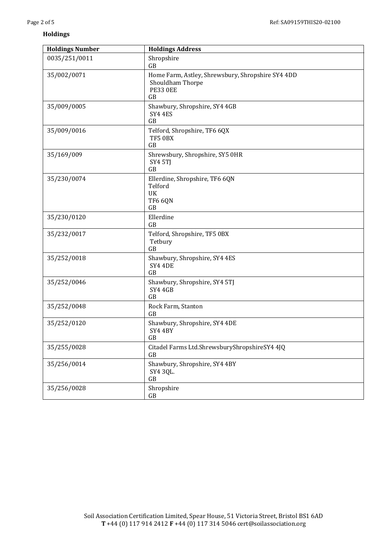# **Holdings**

| <b>Holdings Number</b> | <b>Holdings Address</b>                                                                        |
|------------------------|------------------------------------------------------------------------------------------------|
| 0035/251/0011          | Shropshire<br>GB                                                                               |
| 35/002/0071            | Home Farm, Astley, Shrewsbury, Shropshire SY4 4DD<br>Shouldham Thorpe<br><b>PE33 OEE</b><br>GB |
| 35/009/0005            | Shawbury, Shropshire, SY4 4GB<br>SY4 4ES<br>GB                                                 |
| 35/009/0016            | Telford, Shropshire, TF6 6QX<br>TF5 0BX<br>GB                                                  |
| 35/169/009             | Shrewsbury, Shropshire, SY5 0HR<br>SY4 5TJ<br>GB                                               |
| 35/230/0074            | Ellerdine, Shropshire, TF6 6QN<br>Telford<br><b>UK</b><br>TF6 6QN<br>GB                        |
| 35/230/0120            | Ellerdine<br>GB                                                                                |
| 35/232/0017            | Telford, Shropshire, TF5 0BX<br>Tetbury<br>GB                                                  |
| 35/252/0018            | Shawbury, Shropshire, SY4 4ES<br>SY4 4DE<br>GB                                                 |
| 35/252/0046            | Shawbury, Shropshire, SY4 5TJ<br><b>SY4 4GB</b><br>GB                                          |
| 35/252/0048            | Rock Farm, Stanton<br><b>GB</b>                                                                |
| 35/252/0120            | Shawbury, Shropshire, SY4 4DE<br>SY4 4BY<br>GB                                                 |
| 35/255/0028            | Citadel Farms Ltd.ShrewsburyShropshireSY4 4JQ<br>GB                                            |
| 35/256/0014            | Shawbury, Shropshire, SY4 4BY<br>SY4 3QL.<br>GB                                                |
| 35/256/0028            | Shropshire<br>GB                                                                               |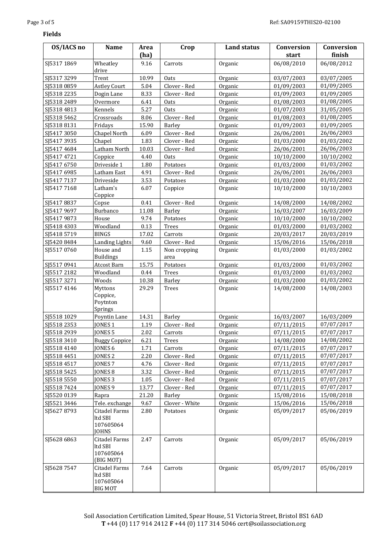#### **Fields**

| OS/IACS no  | <b>Name</b>                                             | Area<br>(ha) | Crop                 | <b>Land status</b> | Conversion<br>start | Conversion<br>finish |
|-------------|---------------------------------------------------------|--------------|----------------------|--------------------|---------------------|----------------------|
| SJ5317 1869 | Wheatley                                                | 9.16         | Carrots              | Organic            | 06/08/2010          | 06/08/2012           |
| SJ5317 3299 | drive<br>Trent                                          | 10.99        | Oats                 | Organic            | 03/07/2003          | 03/07/2005           |
| SJ53180859  | <b>Astley Court</b>                                     | 5.04         | Clover - Red         | Organic            | 01/09/2003          | 01/09/2005           |
| SJ5318 2235 | Dogin Lane                                              | 8.33         | Clover - Red         | Organic            | 01/09/2003          | 01/09/2005           |
| SJ5318 2489 | Overmore                                                | 6.41         | Oats                 | Organic            | 01/08/2003          | 01/08/2005           |
| SJ53184813  | Kennels                                                 | 5.27         | Oats                 | Organic            | 01/07/2003          | 31/05/2005           |
| SJ5318 5462 | Crossroads                                              | 8.06         | Clover - Red         | Organic            | 01/08/2003          | 01/08/2005           |
| SJ53188131  | Fridays                                                 | 15.90        | Barley               | Organic            | 01/09/2003          | 01/09/2005           |
| SJ5417 3050 | Chapel North                                            | 6.09         | Clover - Red         | Organic            | 26/06/2001          | 26/06/2003           |
| SJ5417 3935 | Chapel                                                  | 1.83         | Clover - Red         | Organic            | 01/03/2000          | 01/03/2002           |
| SJ54174684  | Latham North                                            | 10.03        | Clover - Red         | Organic            | 26/06/2001          | 26/06/2003           |
| SJ5417 4721 | Coppice                                                 | 4.40         | Oats                 | Organic            | 10/10/2000          | 10/10/2002           |
| SJ5417 6750 | Driveside 1                                             | 1.80         | Potatoes             | Organic            | 01/03/2000          | 01/03/2002           |
| SJ5417 6985 | Latham East                                             | 4.91         | Clover - Red         | Organic            | 26/06/2001          | 26/06/2003           |
| SJ54177137  | Driveside                                               | 3.53         | Potatoes             | Organic            | 01/03/2000          | 01/03/2002           |
| SJ54177168  | Latham's                                                | 6.07         |                      | Organic            | 10/10/2000          | 10/10/2003           |
|             | Coppice                                                 |              | Coppice              |                    |                     |                      |
| SJ54178837  | Copse                                                   | 0.41         | Clover - Red         | Organic            | 14/08/2000          | 14/08/2002           |
| SJ54179697  | Burbanco                                                | 11.08        | Barley               | Organic            | 16/03/2007          | 16/03/2009           |
| SJ54179873  | House                                                   | 9.74         | Potatoes             | Organic            | 10/10/2000          | 10/10/2002           |
| SJ54184303  | Woodland                                                | 0.13         | Trees                | Organic            | 01/03/2000          | 01/03/2002           |
| SJ5418 5719 | <b>BINGS</b>                                            | 17.02        | Carrots              | Organic            | 20/03/2017          | 20/03/2019           |
| SJ5420 8484 | Landing Lights                                          | 9.60         | Clover - Red         | Organic            | 15/06/2016          | 15/06/2018           |
| SJ55170760  | House and<br><b>Buildings</b>                           | 1.15         | Non cropping<br>area | Organic            | 01/03/2000          | 01/03/2002           |
| SJ55170941  | Atcost Barn                                             | 15.75        | Potatoes             | Organic            | 01/03/2000          | 01/03/2002           |
| SJ5517 2182 | Woodland                                                | 0.44         | Trees                | Organic            | 01/03/2000          | 01/03/2002           |
| SJ55173271  | Woods                                                   | 10.38        | Barley               | Organic            | 01/03/2000          | 01/03/2002           |
| SJ55174146  | Myttons<br>Coppice,<br>Poytnton<br>Springs              | 29.29        | Trees                | Organic            | 14/08/2000          | 14/08/2003           |
| SJ5518 1029 | Poyntin Lane                                            | 14.31        | Barley               | Organic            | 16/03/2007          | 16/03/2009           |
| SJ5518 2353 | JONES <sub>1</sub>                                      | 1.19         | Clover - Red         | Organic            | 07/11/2015          | 07/07/2017           |
| SJ5518 2939 | JONES <sub>5</sub>                                      | 2.02         | Carrots              | Organic            | 07/11/2015          | 07/07/2017           |
| SJ5518 3410 | <b>Buggy Coppice</b>                                    | 6.21         | Trees                | Organic            | 14/08/2000          | 14/08/2002           |
| SJ55184140  | JONES <sub>6</sub>                                      | 1.71         | Carrots              | Organic            | 07/11/2015          | 07/07/2017           |
| SJ55184451  | JONES <sub>2</sub>                                      | 2.20         | Clover - Red         | Organic            | 07/11/2015          | 07/07/2017           |
| SJ55184517  | JONES <sub>7</sub>                                      | 4.76         | Clover - Red         | Organic            | 07/11/2015          | 07/07/2017           |
| SJ5518 5425 | JONES <sub>8</sub>                                      | 3.32         | Clover - Red         | Organic            | 07/11/2015          | 07/07/2017           |
| SJ5518 5550 | JONES 3                                                 | 1.05         | Clover - Red         | Organic            | 07/11/2015          | 07/07/2017           |
| SJ55187424  | JONES <sub>9</sub>                                      | 13.77        | Clover - Red         | Organic            | 07/11/2015          | 07/07/2017           |
| SJ55200139  | Rapra                                                   | 21.20        | Barley               | Organic            | 15/08/2016          | 15/08/2018           |
| SJ5521 3446 | Tele. exchange                                          | 9.67         | Clover - White       | Organic            | 15/06/2016          | 15/06/2018           |
| SJ56278793  | Citadel Farms<br>ltd SBI<br>107605064<br><b>JOHNS</b>   | 2.80         | Potatoes             | Organic            | 05/09/2017          | 05/06/2019           |
| SJ5628 6863 | Citadel Farms<br>ltd SBI<br>107605064<br>(BIG MOT)      | 2.47         | Carrots              | Organic            | 05/09/2017          | 05/06/2019           |
| SJ56287547  | Citadel Farms<br>ltd SBI<br>107605064<br><b>BIG MOT</b> | 7.64         | Carrots              | Organic            | 05/09/2017          | 05/06/2019           |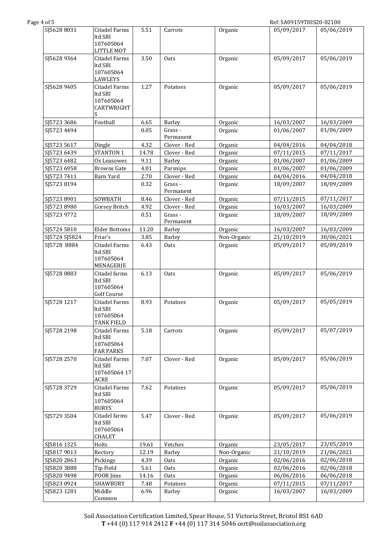Page 4 of 5 Ref: SA09159THIS20-02100

| SJ5628 8031   | Citadel Farms<br>ltd SBI<br>107605064<br><b>LITTLE MOT</b> | 5.51  | Carrots             | Organic     | 05/09/2017 | 05/06/2019 |
|---------------|------------------------------------------------------------|-------|---------------------|-------------|------------|------------|
| SJ5628 9364   | Citadel Farms<br>ltd SBI<br>107605064<br>LAWLEYS           | 3.50  | Oats                | Organic     | 05/09/2017 | 05/06/2019 |
| SJ5628 9405   | Citadel Farms<br>ltd SBI<br>107605064<br>CARTWRIGHT<br>S   | 1.27  | Potatoes            | Organic     | 05/09/2017 | 05/06/2019 |
| SJ5723 3686   | Football                                                   | 6.65  | Barley              | Organic     | 16/03/2007 | 16/03/2009 |
| SJ5723 4494   |                                                            | 0.05  | Grass-<br>Permanent | Organic     | 01/06/2007 | 01/06/2009 |
| SJ5723 5617   | Dingle                                                     | 4.32  | Clover - Red        | Organic     | 04/04/2016 | 04/04/2018 |
| SJ5723 6439   | STANTON 1                                                  | 14.78 | Clover - Red        | Organic     | 07/11/2015 | 07/11/2017 |
| SJ5723 6482   | Ox Leasowes                                                | 9.11  | Barley              | Organic     | 01/06/2007 | 01/06/2009 |
| SJ5723 6958   | <b>Browns Gate</b>                                         | 4.01  | Parsnips            | Organic     | 01/06/2007 | 01/06/2009 |
| SJ57237411    | Barn Yard                                                  | 2.70  | Clover - Red        | Organic     | 04/04/2016 | 04/04/2018 |
| SJ57238194    |                                                            | 0.32  | Grass-<br>Permanent | Organic     | 18/09/2007 | 18/09/2009 |
| SJ5723 8901   | SOWBATH                                                    | 8.46  | Clover - Red        | Organic     | 07/11/2015 | 07/11/2017 |
| SJ57238980    | Gorsey Britch                                              | 4.92  | Clover - Red        | Organic     | 16/03/2007 | 16/03/2009 |
| SJ5723 9772   |                                                            | 0.51  | Grass-<br>Permanent | Organic     | 18/09/2007 | 18/09/2009 |
| SJ5724 5810   | <b>Elder Bottoms</b>                                       | 11.20 | Barley              | Organic     | 16/03/2007 | 16/03/2009 |
| SJ5724 SJ5824 | Friar's                                                    | 3.85  | Barley              | Non-Organic | 21/10/2019 | 30/06/2021 |
| SJ5728 8884   | Citadel Farms<br>ltd SBI<br>107605064<br>MENAGERIE         | 6.43  | Oats                | Organic     | 05/09/2017 | 05/09/2019 |
| SJ5728 0883   | Citadel farms<br>ltd SBI<br>107605064<br>Golf Course       | 6.13  | Oats                | Organic     | 05/09/2017 | 05/06/2019 |
| SJ5728 1217   | Citadel Farms<br>ltd SBI<br>107605064<br><b>TANK FIELD</b> | 8.93  | Potatoes            | Organic     | 05/09/2017 | 05/05/2019 |
| SJ5728 2198   | Citadel Farms<br>ltd SBI<br>107605064<br><b>FAR PARKS</b>  | 5.18  | Carrots             | Organic     | 05/09/2017 | 05/07/2019 |
| SJ5728 2570   | Citadel Farms<br>ltd SBI<br>107605064 17<br>ACRE           | 7.07  | Clover - Red        | Organic     | 05/09/2017 | 05/06/2019 |
| SJ5728 3729   | Citadel Farms<br>ltd SBI-<br>107605064<br><b>BURYS</b>     | 7.62  | Potatoes            | Organic     | 05/09/2017 | 05/06/2019 |
| SJ5729 3504   | Citadel farms<br>ltd SBI<br>107605064<br><b>CHALET</b>     | 5.47  | Clover - Red        | Organic     | 05/09/2017 | 05/06/2019 |
| SJ5816 1325   | Holts                                                      | 19.61 | Vetches             | Organic     | 23/05/2017 | 23/05/2019 |
| SJ5817 9013   | Rectory                                                    | 12.19 | <b>Barley</b>       | Non-Organic | 21/10/2019 | 21/06/2021 |
| SJ5820 2863   | Pickings                                                   | 4.39  | <b>Oats</b>         | Organic     | 02/06/2016 | 02/06/2018 |
| SJ5820 3888   | Tip Field                                                  | 5.61  | <b>Oats</b>         | Organic     | 02/06/2016 | 02/06/2018 |
| SJ5820 9498   | POOR Jims                                                  | 14.16 | Oats                | Organic     | 06/06/2016 | 06/06/2018 |
| SJ5823 0924   | SHAWBURY                                                   | 7.48  | Potatoes            | Organic     | 07/11/2015 | 07/11/2017 |
| SJ5823 1281   | Middle<br>Common                                           | 6.96  | Barley              | Organic     | 16/03/2007 | 16/03/2009 |